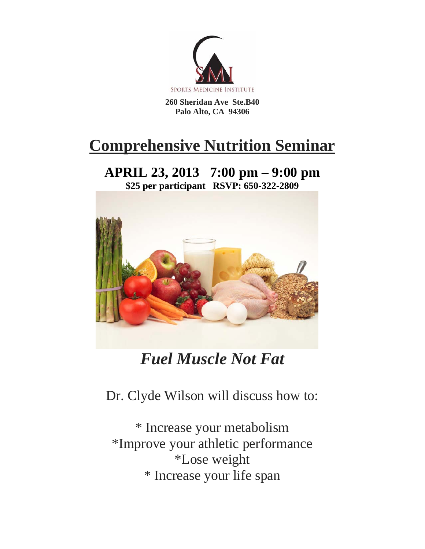

**260 Sheridan Ave Ste.B40 Palo Alto, CA 94306** 

## **Comprehensive Nutrition Seminar**

**APRIL 23, 2013 7:00 pm – 9:00 pm \$25 per participant RSVP: 650-322-2809** 



## *Fuel Muscle Not Fat*

Dr. Clyde Wilson will discuss how to:

\* Increase your metabolism \*Improve your athletic performance \*Lose weight \* Increase your life span